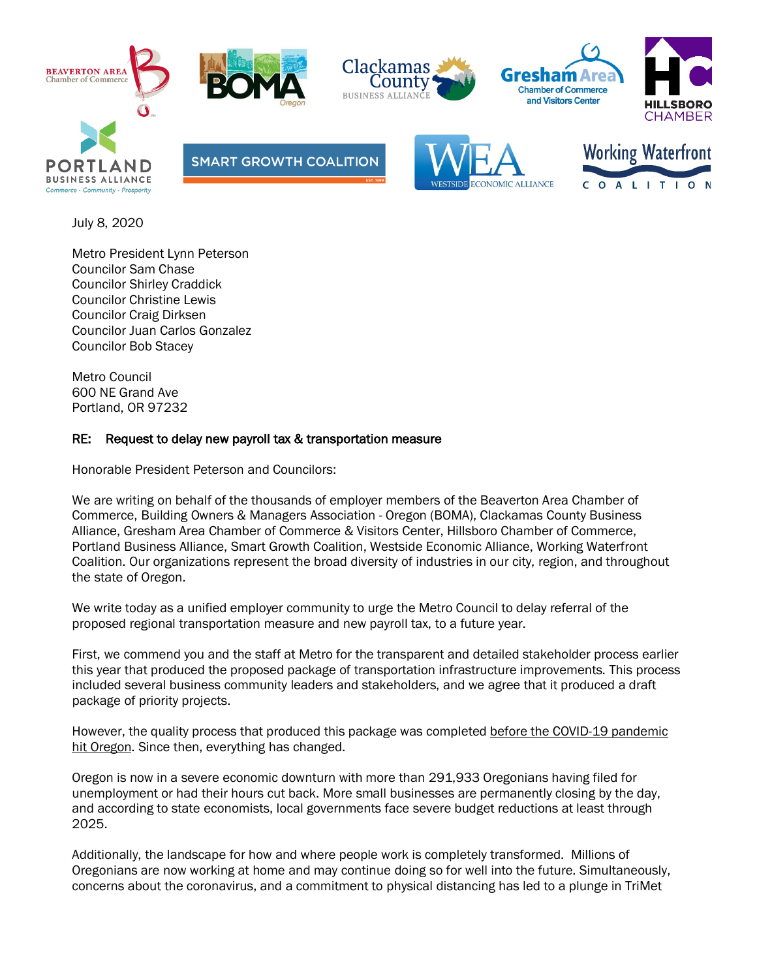











**SMART GROWTH COALITION** 





July 8, 2020

Metro President Lynn Peterson Councilor Sam Chase Councilor Shirley Craddick Councilor Christine Lewis Councilor Craig Dirksen Councilor Juan Carlos Gonzalez Councilor Bob Stacey

Metro Council 600 NE Grand Ave Portland, OR 97232

## RE: Request to delay new payroll tax & transportation measure

Honorable President Peterson and Councilors:

We are writing on behalf of the thousands of employer members of the Beaverton Area Chamber of Commerce, Building Owners & Managers Association - Oregon (BOMA), Clackamas County Business Alliance, Gresham Area Chamber of Commerce & Visitors Center, Hillsboro Chamber of Commerce, Portland Business Alliance, Smart Growth Coalition, Westside Economic Alliance, Working Waterfront Coalition. Our organizations represent the broad diversity of industries in our city, region, and throughout the state of Oregon.

We write today as a unified employer community to urge the Metro Council to delay referral of the proposed regional transportation measure and new payroll tax, to a future year.

First, we commend you and the staff at Metro for the transparent and detailed stakeholder process earlier this year that produced the proposed package of transportation infrastructure improvements. This process included several business community leaders and stakeholders, and we agree that it produced a draft package of priority projects.

However, the quality process that produced this package was completed before the COVID-19 pandemic hit Oregon. Since then, everything has changed.

Oregon is now in a severe economic downturn with more than 291,933 Oregonians having filed for unemployment or had their hours cut back. More small businesses are permanently closing by the day, and according to state economists, local governments face severe budget reductions at least through 2025.

Additionally, the landscape for how and where people work is completely transformed. Millions of Oregonians are now working at home and may continue doing so for well into the future. Simultaneously, concerns about the coronavirus, and a commitment to physical distancing has led to a plunge in TriMet